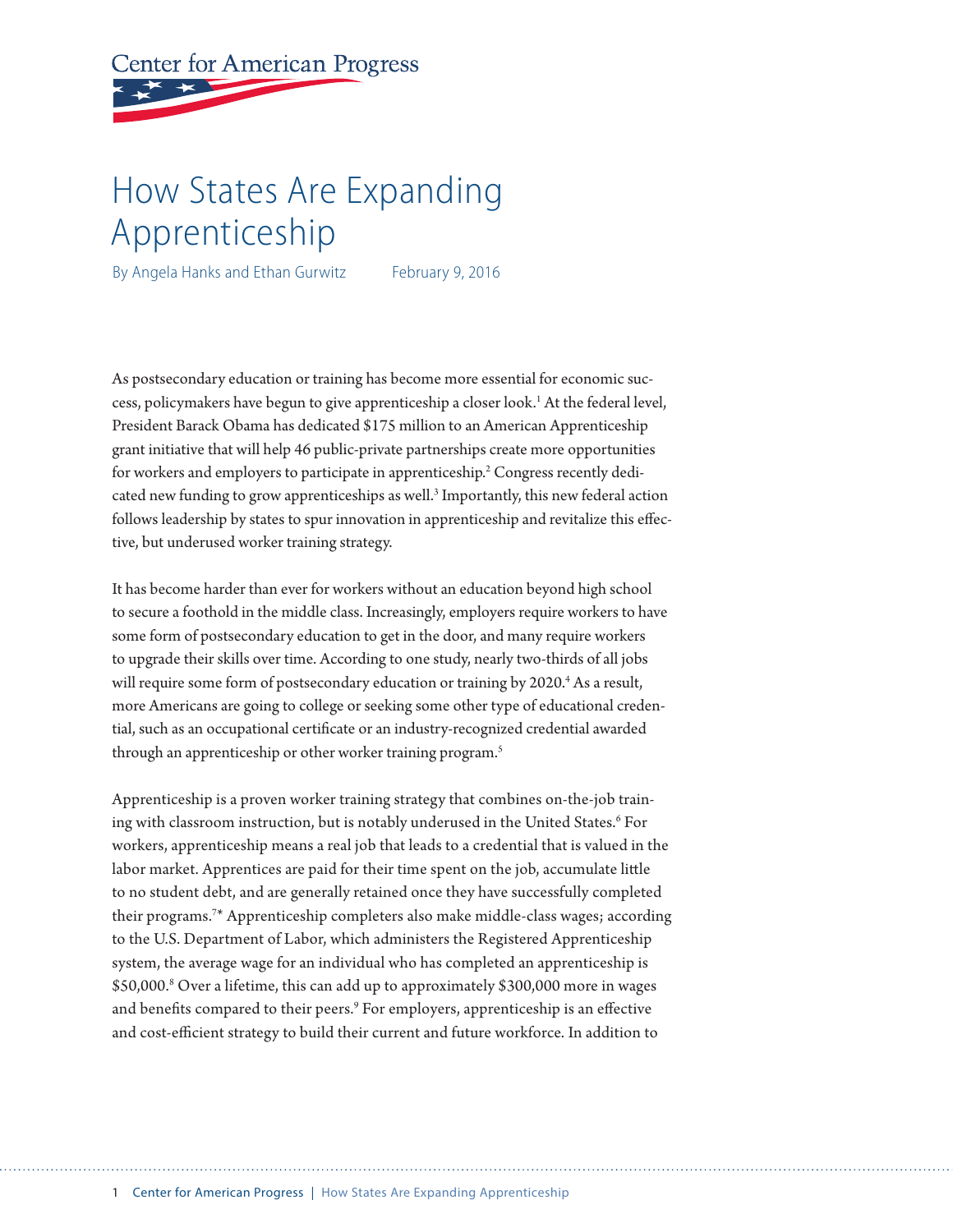# **Center for American Progress**

# How States Are Expanding Apprenticeship

By Angela Hanks and Ethan Gurwitz February 9, 2016

As postsecondary education or training has become more essential for economic success, policymakers have begun to give apprenticeship a closer look.<sup>1</sup> At the federal level, President Barack Obama has dedicated \$175 million to an American Apprenticeship grant initiative that will help 46 public-private partnerships create more opportunities for workers and employers to participate in apprenticeship.<sup>2</sup> Congress recently dedicated new funding to grow apprenticeships as well.<sup>3</sup> Importantly, this new federal action follows leadership by states to spur innovation in apprenticeship and revitalize this effective, but underused worker training strategy.

It has become harder than ever for workers without an education beyond high school to secure a foothold in the middle class. Increasingly, employers require workers to have some form of postsecondary education to get in the door, and many require workers to upgrade their skills over time. According to one study, nearly two-thirds of all jobs will require some form of postsecondary education or training by 2020.<sup>4</sup> As a result, more Americans are going to college or seeking some other type of educational credential, such as an occupational certificate or an industry-recognized credential awarded through an apprenticeship or other worker training program.<sup>5</sup>

Apprenticeship is a proven worker training strategy that combines on-the-job training with classroom instruction, but is notably underused in the United States.<sup>6</sup> For workers, apprenticeship means a real job that leads to a credential that is valued in the labor market. Apprentices are paid for their time spent on the job, accumulate little to no student debt, and are generally retained once they have successfully completed their programs.7 \* Apprenticeship completers also make middle-class wages; according to the U.S. Department of Labor, which administers the Registered Apprenticeship system, the average wage for an individual who has completed an apprenticeship is \$50,000.8 Over a lifetime, this can add up to approximately \$300,000 more in wages and benefits compared to their peers.<sup>9</sup> For employers, apprenticeship is an effective and cost-efficient strategy to build their current and future workforce. In addition to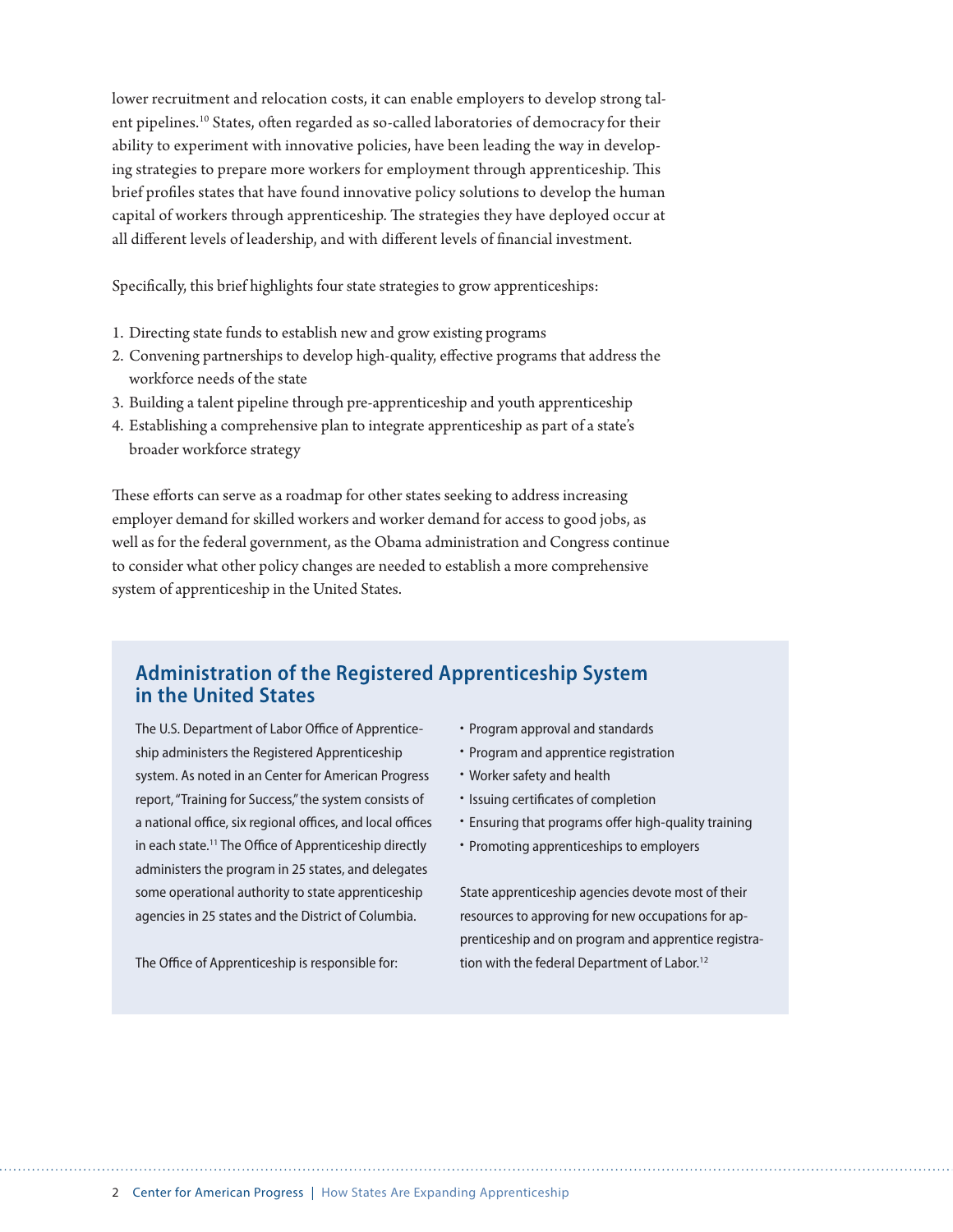lower recruitment and relocation costs, it can enable employers to develop strong talent pipelines.<sup>10</sup> States, often regarded as so-called laboratories of democracy for their ability to experiment with innovative policies, have been leading the way in developing strategies to prepare more workers for employment through apprenticeship. This brief profiles states that have found innovative policy solutions to develop the human capital of workers through apprenticeship. The strategies they have deployed occur at all different levels of leadership, and with different levels of financial investment.

Specifically, this brief highlights four state strategies to grow apprenticeships:

- 1. Directing state funds to establish new and grow existing programs
- 2. Convening partnerships to develop high-quality, effective programs that address the workforce needs of the state
- 3. Building a talent pipeline through pre-apprenticeship and youth apprenticeship
- 4. Establishing a comprehensive plan to integrate apprenticeship as part of a state's broader workforce strategy

These efforts can serve as a roadmap for other states seeking to address increasing employer demand for skilled workers and worker demand for access to good jobs, as well as for the federal government, as the Obama administration and Congress continue to consider what other policy changes are needed to establish a more comprehensive system of apprenticeship in the United States.

## **Administration of the Registered Apprenticeship System in the United States**

The U.S. Department of Labor Office of Apprenticeship administers the Registered Apprenticeship system. As noted in an Center for American Progress report, "Training for Success," the system consists of a national office, six regional offices, and local offices in each state.<sup>11</sup> The Office of Apprenticeship directly administers the program in 25 states, and delegates some operational authority to state apprenticeship agencies in 25 states and the District of Columbia.

The Office of Apprenticeship is responsible for:

- Program approval and standards
- Program and apprentice registration
- Worker safety and health
- Issuing certificates of completion
- Ensuring that programs offer high-quality training
- Promoting apprenticeships to employers

State apprenticeship agencies devote most of their resources to approving for new occupations for apprenticeship and on program and apprentice registration with the federal Department of Labor.<sup>12</sup>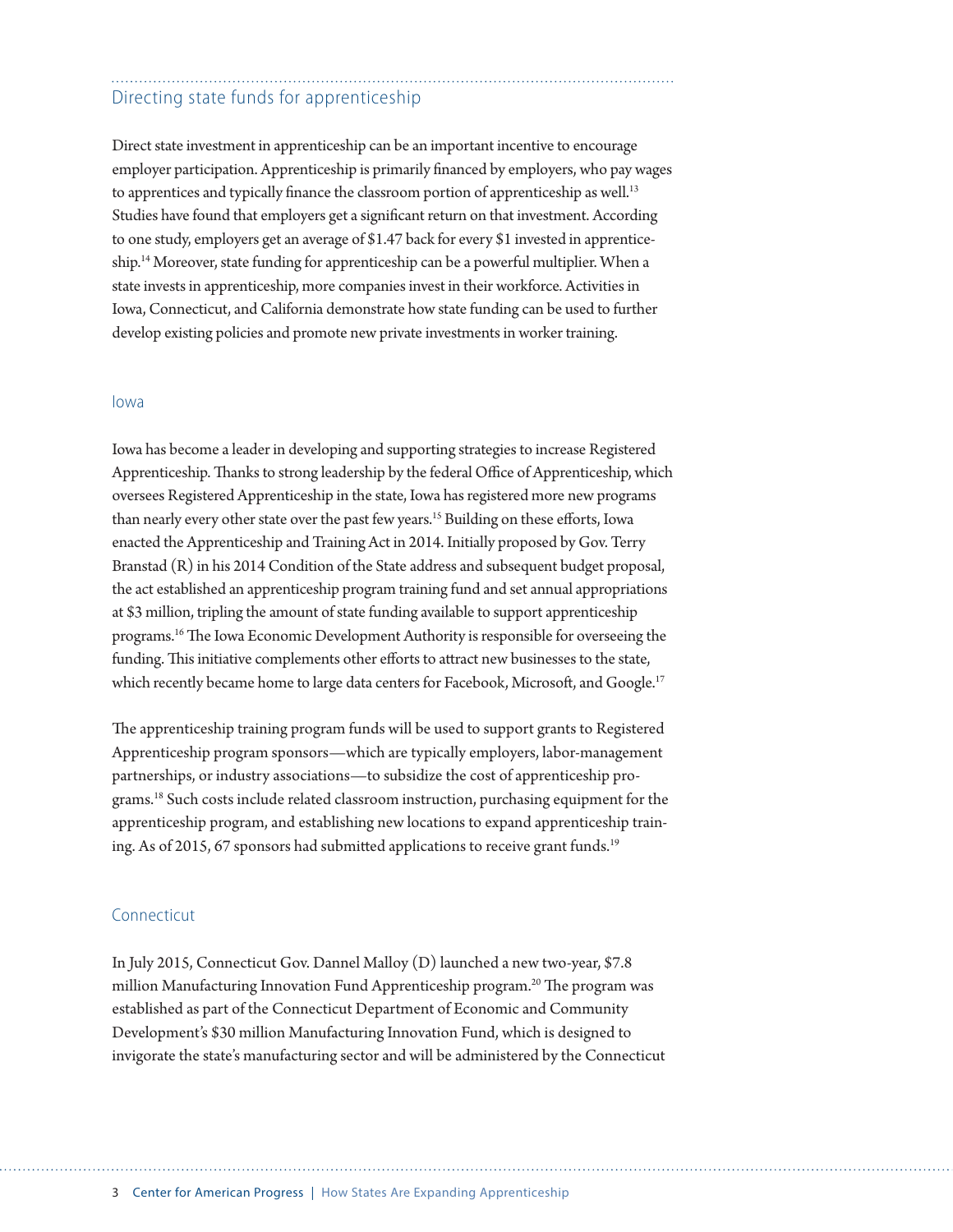## Directing state funds for apprenticeship

Direct state investment in apprenticeship can be an important incentive to encourage employer participation. Apprenticeship is primarily financed by employers, who pay wages to apprentices and typically finance the classroom portion of apprenticeship as well.<sup>13</sup> Studies have found that employers get a significant return on that investment. According to one study, employers get an average of \$1.47 back for every \$1 invested in apprenticeship.<sup>14</sup> Moreover, state funding for apprenticeship can be a powerful multiplier. When a state invests in apprenticeship, more companies invest in their workforce. Activities in Iowa, Connecticut, and California demonstrate how state funding can be used to further develop existing policies and promote new private investments in worker training.

#### Iowa

Iowa has become a leader in developing and supporting strategies to increase Registered Apprenticeship. Thanks to strong leadership by the federal Office of Apprenticeship, which oversees Registered Apprenticeship in the state, Iowa has registered more new programs than nearly every other state over the past few years.15 Building on these efforts, Iowa enacted the Apprenticeship and Training Act in 2014. Initially proposed by Gov. Terry Branstad (R) in his 2014 Condition of the State address and subsequent budget proposal, the act established an apprenticeship program training fund and set annual appropriations at \$3 million, tripling the amount of state funding available to support apprenticeship programs.16 The Iowa Economic Development Authority is responsible for overseeing the funding. This initiative complements other efforts to attract new businesses to the state, which recently became home to large data centers for Facebook, Microsoft, and Google.<sup>17</sup>

The apprenticeship training program funds will be used to support grants to Registered Apprenticeship program sponsors—which are typically employers, labor-management partnerships, or industry associations—to subsidize the cost of apprenticeship programs.18 Such costs include related classroom instruction, purchasing equipment for the apprenticeship program, and establishing new locations to expand apprenticeship training. As of 2015, 67 sponsors had submitted applications to receive grant funds.<sup>19</sup>

#### Connecticut

In July 2015, Connecticut Gov. Dannel Malloy (D) launched a new two-year, \$7.8 million Manufacturing Innovation Fund Apprenticeship program.20 The program was established as part of the Connecticut Department of Economic and Community Development's \$30 million Manufacturing Innovation Fund, which is designed to invigorate the state's manufacturing sector and will be administered by the Connecticut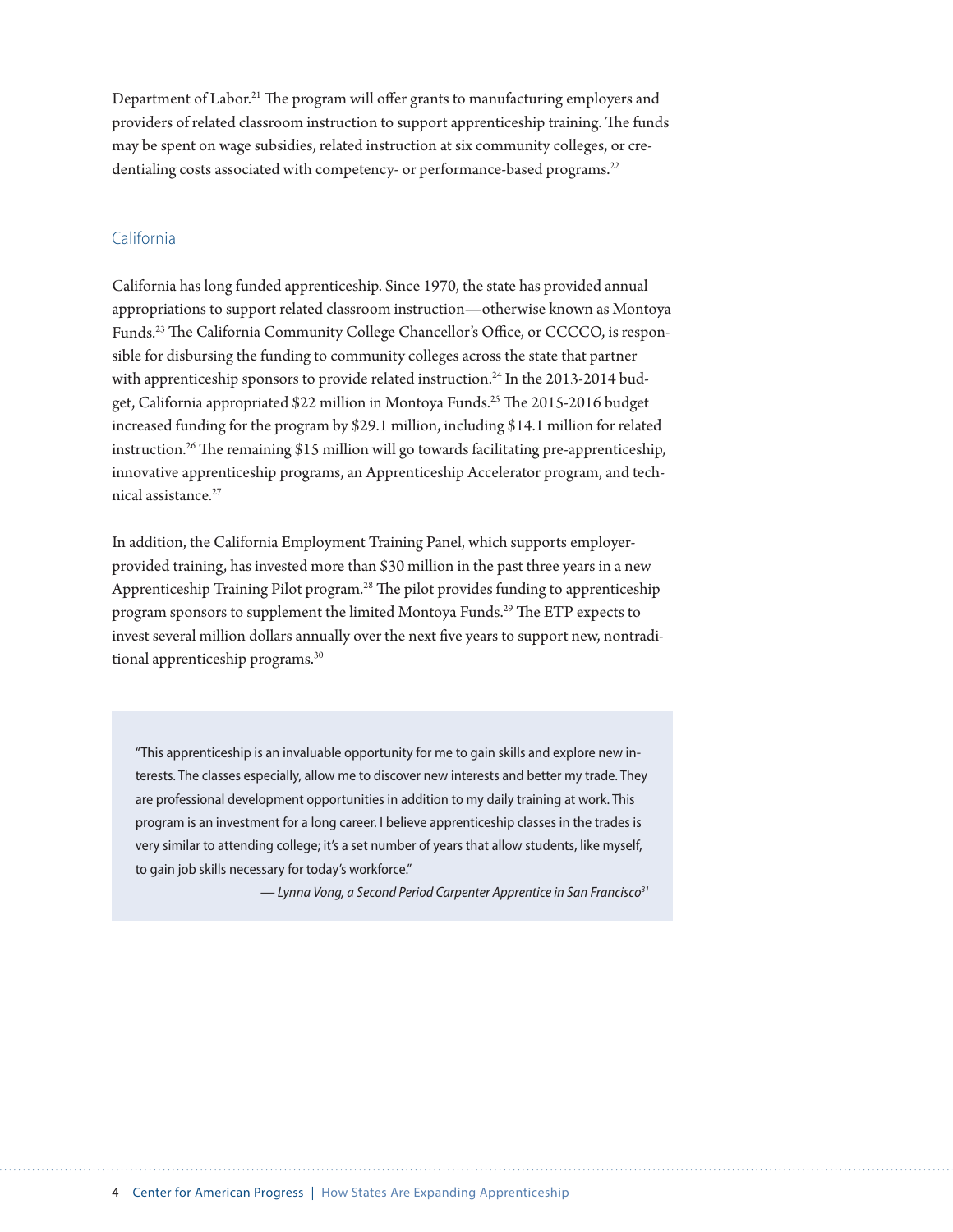Department of Labor.<sup>21</sup> The program will offer grants to manufacturing employers and providers of related classroom instruction to support apprenticeship training. The funds may be spent on wage subsidies, related instruction at six community colleges, or credentialing costs associated with competency- or performance-based programs.<sup>22</sup>

### California

California has long funded apprenticeship. Since 1970, the state has provided annual appropriations to support related classroom instruction—otherwise known as Montoya Funds.23 The California Community College Chancellor's Office, or CCCCO, is responsible for disbursing the funding to community colleges across the state that partner with apprenticeship sponsors to provide related instruction.<sup>24</sup> In the 2013-2014 budget, California appropriated \$22 million in Montoya Funds.<sup>25</sup> The 2015-2016 budget increased funding for the program by \$29.1 million, including \$14.1 million for related instruction.<sup>26</sup> The remaining \$15 million will go towards facilitating pre-apprenticeship, innovative apprenticeship programs, an Apprenticeship Accelerator program, and technical assistance.27

In addition, the California Employment Training Panel, which supports employerprovided training, has invested more than \$30 million in the past three years in a new Apprenticeship Training Pilot program.<sup>28</sup> The pilot provides funding to apprenticeship program sponsors to supplement the limited Montoya Funds.29 The ETP expects to invest several million dollars annually over the next five years to support new, nontraditional apprenticeship programs.<sup>30</sup>

"This apprenticeship is an invaluable opportunity for me to gain skills and explore new interests. The classes especially, allow me to discover new interests and better my trade. They are professional development opportunities in addition to my daily training at work. This program is an investment for a long career. I believe apprenticeship classes in the trades is very similar to attending college; it's a set number of years that allow students, like myself, to gain job skills necessary for today's workforce."

*— Lynna Vong, a Second Period Carpenter Apprentice in San Francisco31*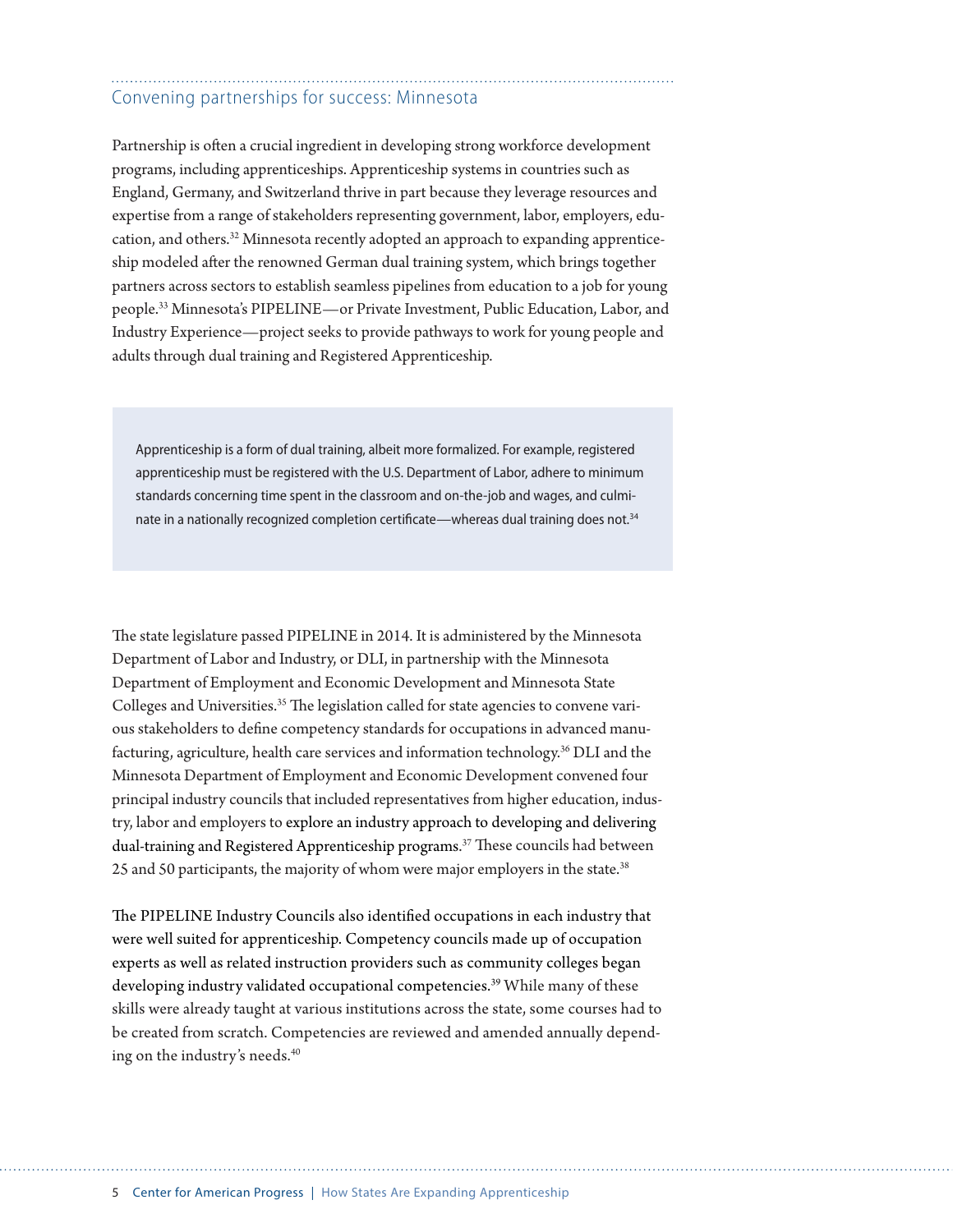# Convening partnerships for success: Minnesota

Partnership is often a crucial ingredient in developing strong workforce development programs, including apprenticeships. Apprenticeship systems in countries such as England, Germany, and Switzerland thrive in part because they leverage resources and expertise from a range of stakeholders representing government, labor, employers, education, and others.32 Minnesota recently adopted an approach to expanding apprenticeship modeled after the renowned German dual training system, which brings together partners across sectors to establish seamless pipelines from education to a job for young people.33 Minnesota's PIPELINE—or Private Investment, Public Education, Labor, and Industry Experience—project seeks to provide pathways to work for young people and adults through dual training and Registered Apprenticeship.

Apprenticeship is a form of dual training, albeit more formalized. For example, registered apprenticeship must be registered with the U.S. Department of Labor, adhere to minimum standards concerning time spent in the classroom and on-the-job and wages, and culminate in a nationally recognized completion certificate—whereas dual training does not.<sup>34</sup>

The state legislature passed PIPELINE in 2014. It is administered by the Minnesota Department of Labor and Industry, or DLI, in partnership with the Minnesota Department of Employment and Economic Development and Minnesota State Colleges and Universities.<sup>35</sup> The legislation called for state agencies to convene various stakeholders to define competency standards for occupations in advanced manufacturing, agriculture, health care services and information technology.36 DLI and the Minnesota Department of Employment and Economic Development convened four principal industry councils that included representatives from higher education, industry, labor and employers to explore an industry approach to developing and delivering dual-training and Registered Apprenticeship programs. 37 These councils had between 25 and 50 participants, the majority of whom were major employers in the state.<sup>38</sup>

The PIPELINE Industry Councils also identified occupations in each industry that were well suited for apprenticeship. Competency councils made up of occupation experts as well as related instruction providers such as community colleges began developing industry validated occupational competencies.<sup>39</sup> While many of these skills were already taught at various institutions across the state, some courses had to be created from scratch. Competencies are reviewed and amended annually depending on the industry's needs.<sup>40</sup>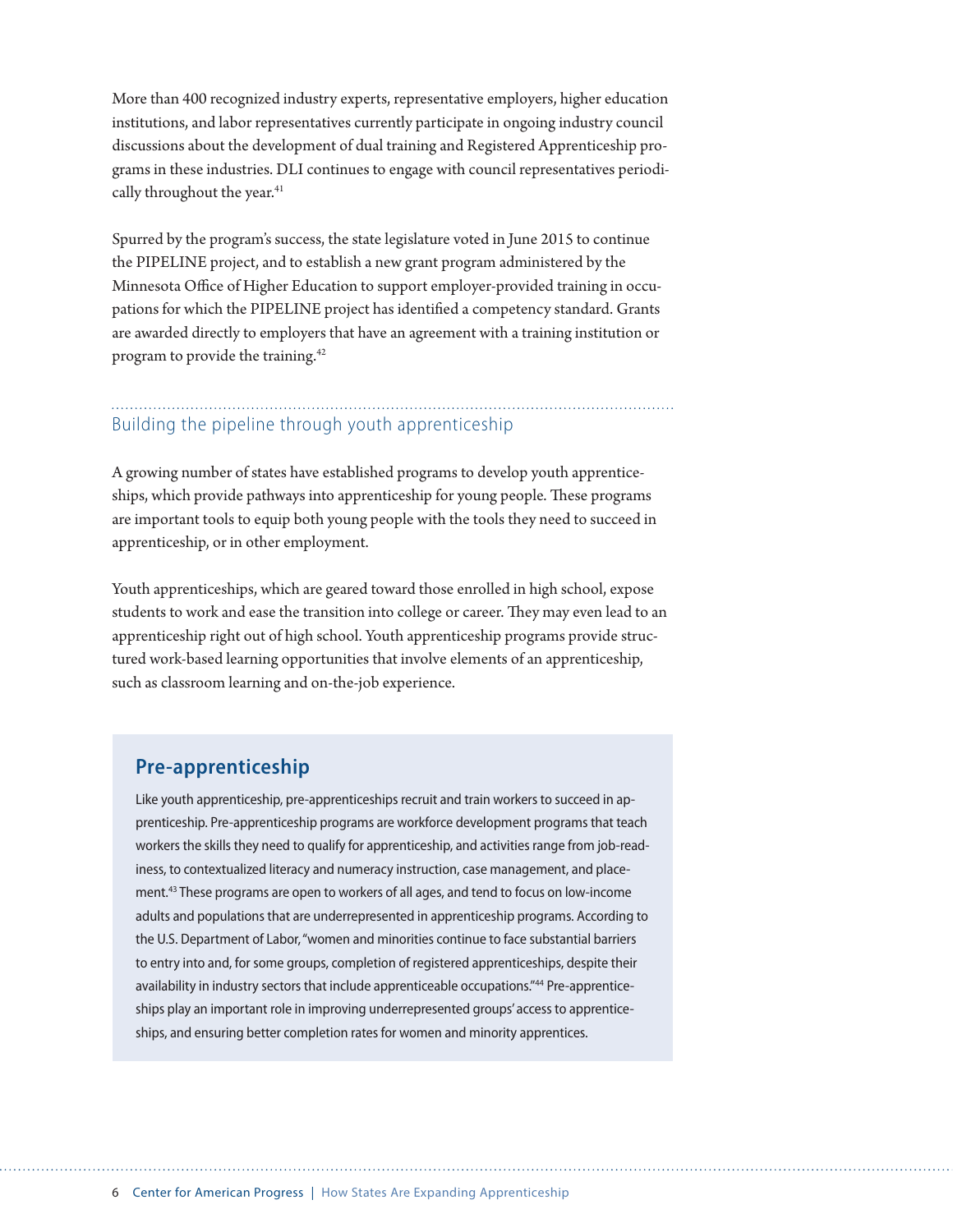More than 400 recognized industry experts, representative employers, higher education institutions, and labor representatives currently participate in ongoing industry council discussions about the development of dual training and Registered Apprenticeship programs in these industries. DLI continues to engage with council representatives periodically throughout the year.<sup>41</sup>

Spurred by the program's success, the state legislature voted in June 2015 to continue the PIPELINE project, and to establish a new grant program administered by the Minnesota Office of Higher Education to support employer-provided training in occupations for which the PIPELINE project has identified a competency standard. Grants are awarded directly to employers that have an agreement with a training institution or program to provide the training.<sup>42</sup>

## Building the pipeline through youth apprenticeship

A growing number of states have established programs to develop youth apprenticeships, which provide pathways into apprenticeship for young people. These programs are important tools to equip both young people with the tools they need to succeed in apprenticeship, or in other employment.

Youth apprenticeships, which are geared toward those enrolled in high school, expose students to work and ease the transition into college or career. They may even lead to an apprenticeship right out of high school. Youth apprenticeship programs provide structured work-based learning opportunities that involve elements of an apprenticeship, such as classroom learning and on-the-job experience.

## **Pre-apprenticeship**

Like youth apprenticeship, pre-apprenticeships recruit and train workers to succeed in apprenticeship. Pre-apprenticeship programs are workforce development programs that teach workers the skills they need to qualify for apprenticeship, and activities range from job-readiness, to contextualized literacy and numeracy instruction, case management, and placement.<sup>43</sup> These programs are open to workers of all ages, and tend to focus on low-income adults and populations that are underrepresented in apprenticeship programs. According to the U.S. Department of Labor, "women and minorities continue to face substantial barriers to entry into and, for some groups, completion of registered apprenticeships, despite their availability in industry sectors that include apprenticeable occupations."44 Pre-apprenticeships play an important role in improving underrepresented groups' access to apprenticeships, and ensuring better completion rates for women and minority apprentices.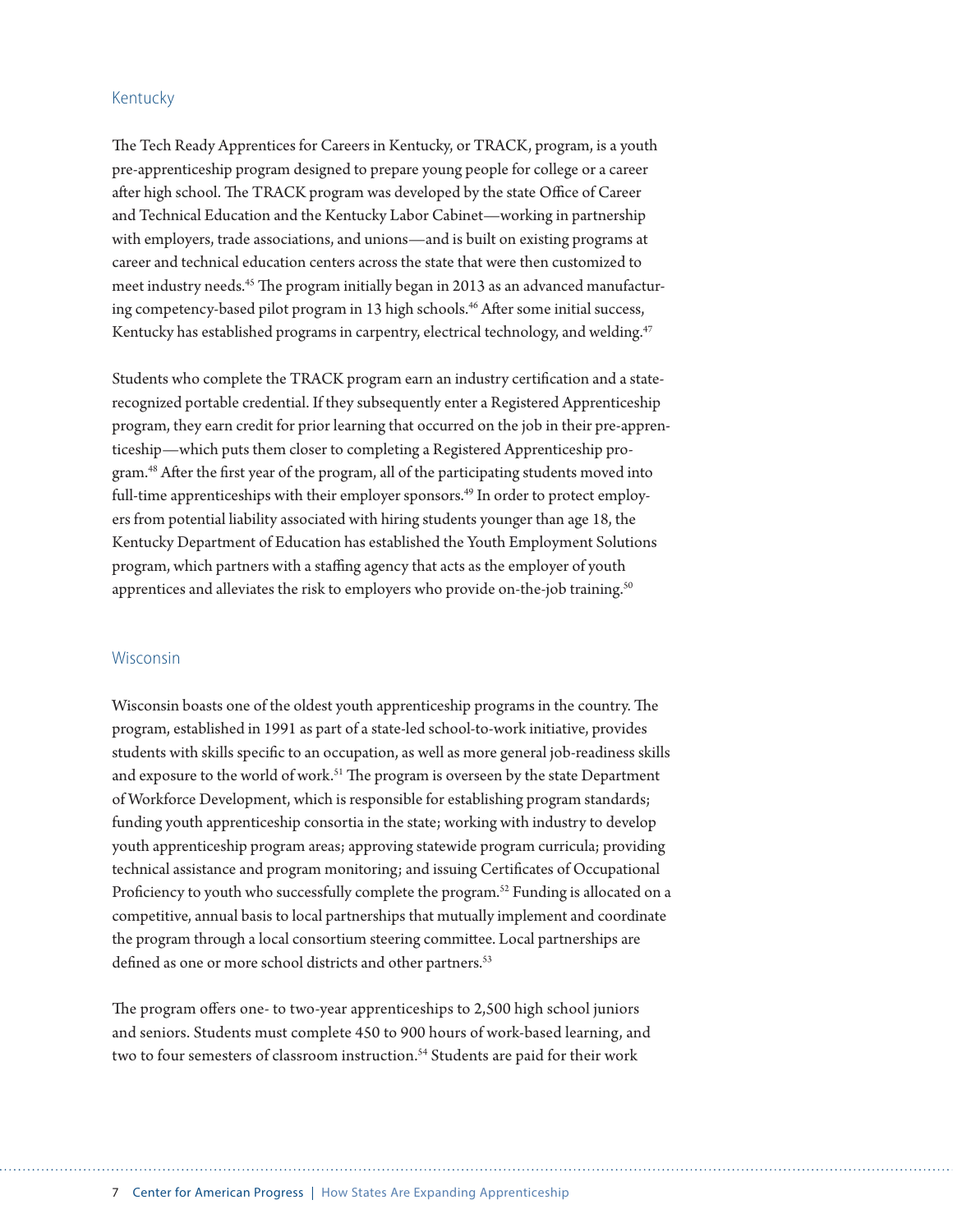### Kentucky

The Tech Ready Apprentices for Careers in Kentucky, or TRACK, program, is a youth pre-apprenticeship program designed to prepare young people for college or a career after high school. The TRACK program was developed by the state Office of Career and Technical Education and the Kentucky Labor Cabinet—working in partnership with employers, trade associations, and unions—and is built on existing programs at career and technical education centers across the state that were then customized to meet industry needs.45 The program initially began in 2013 as an advanced manufacturing competency-based pilot program in 13 high schools.<sup>46</sup> After some initial success, Kentucky has established programs in carpentry, electrical technology, and welding.<sup>47</sup>

Students who complete the TRACK program earn an industry certification and a staterecognized portable credential. If they subsequently enter a Registered Apprenticeship program, they earn credit for prior learning that occurred on the job in their pre-apprenticeship—which puts them closer to completing a Registered Apprenticeship program.48 After the first year of the program, all of the participating students moved into full-time apprenticeships with their employer sponsors.<sup>49</sup> In order to protect employers from potential liability associated with hiring students younger than age 18, the Kentucky Department of Education has established the Youth Employment Solutions program, which partners with a staffing agency that acts as the employer of youth apprentices and alleviates the risk to employers who provide on-the-job training.<sup>50</sup>

#### Wisconsin

Wisconsin boasts one of the oldest youth apprenticeship programs in the country. The program, established in 1991 as part of a state-led school-to-work initiative, provides students with skills specific to an occupation, as well as more general job-readiness skills and exposure to the world of work.<sup>51</sup> The program is overseen by the state Department of Workforce Development, which is responsible for establishing program standards; funding youth apprenticeship consortia in the state; working with industry to develop youth apprenticeship program areas; approving statewide program curricula; providing technical assistance and program monitoring; and issuing Certificates of Occupational Proficiency to youth who successfully complete the program.<sup>52</sup> Funding is allocated on a competitive, annual basis to local partnerships that mutually implement and coordinate the program through a local consortium steering committee. Local partnerships are defined as one or more school districts and other partners.<sup>53</sup>

The program offers one- to two-year apprenticeships to 2,500 high school juniors and seniors. Students must complete 450 to 900 hours of work-based learning, and two to four semesters of classroom instruction.<sup>54</sup> Students are paid for their work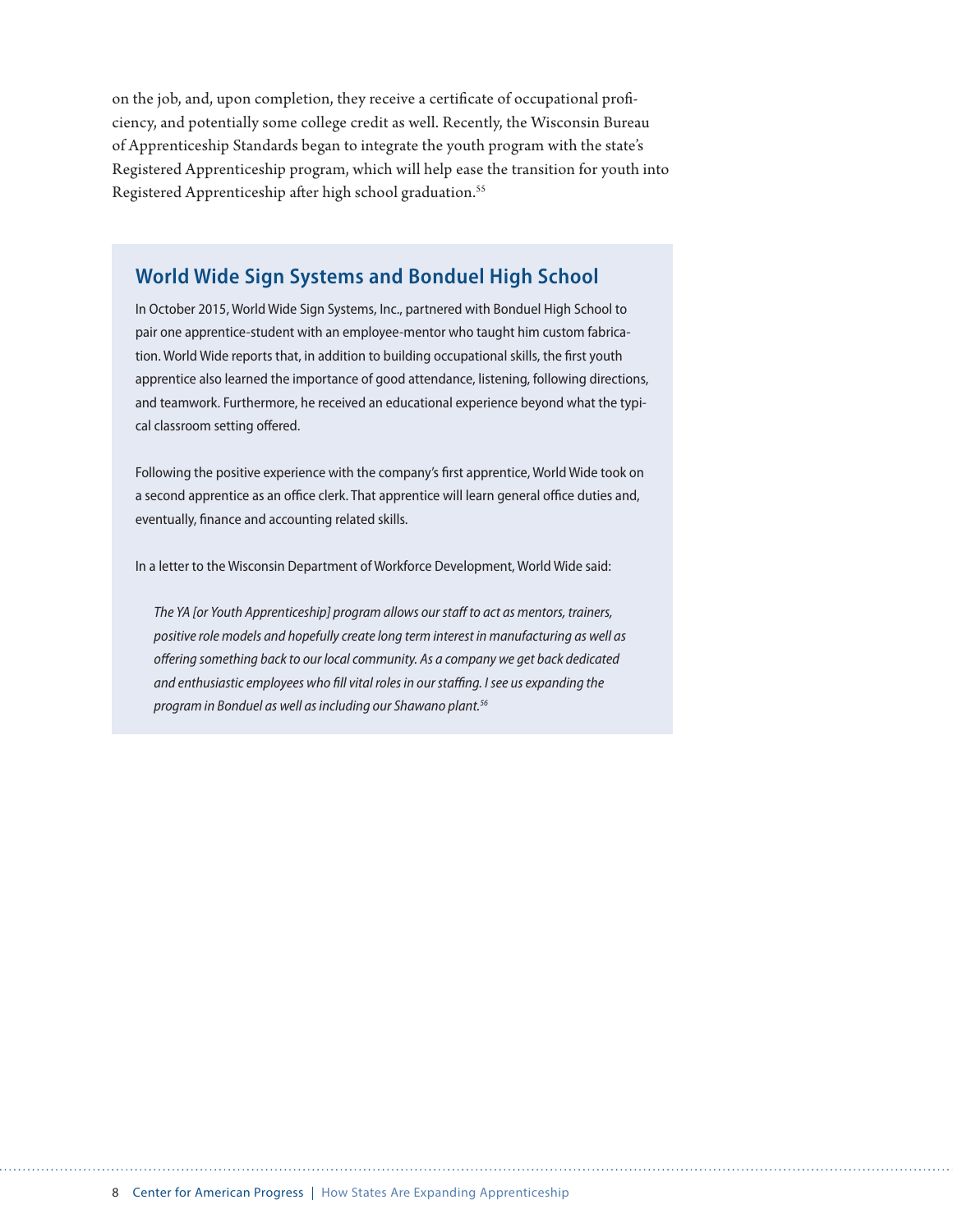on the job, and, upon completion, they receive a certificate of occupational proficiency, and potentially some college credit as well. Recently, the Wisconsin Bureau of Apprenticeship Standards began to integrate the youth program with the state's Registered Apprenticeship program, which will help ease the transition for youth into Registered Apprenticeship after high school graduation.<sup>55</sup>

## **World Wide Sign Systems and Bonduel High School**

In October 2015, World Wide Sign Systems, Inc., partnered with Bonduel High School to pair one apprentice-student with an employee-mentor who taught him custom fabrication. World Wide reports that, in addition to building occupational skills, the first youth apprentice also learned the importance of good attendance, listening, following directions, and teamwork. Furthermore, he received an educational experience beyond what the typical classroom setting offered.

Following the positive experience with the company's first apprentice, World Wide took on a second apprentice as an office clerk. That apprentice will learn general office duties and, eventually, finance and accounting related skills.

In a letter to the Wisconsin Department of Workforce Development, World Wide said:

*The YA [or Youth Apprenticeship] program allows our staff to act as mentors, trainers, positive role models and hopefully create long term interest in manufacturing as well as offering something back to our local community. As a company we get back dedicated and enthusiastic employees who fill vital roles in our staffing. I see us expanding the program in Bonduel as well as including our Shawano plant.56*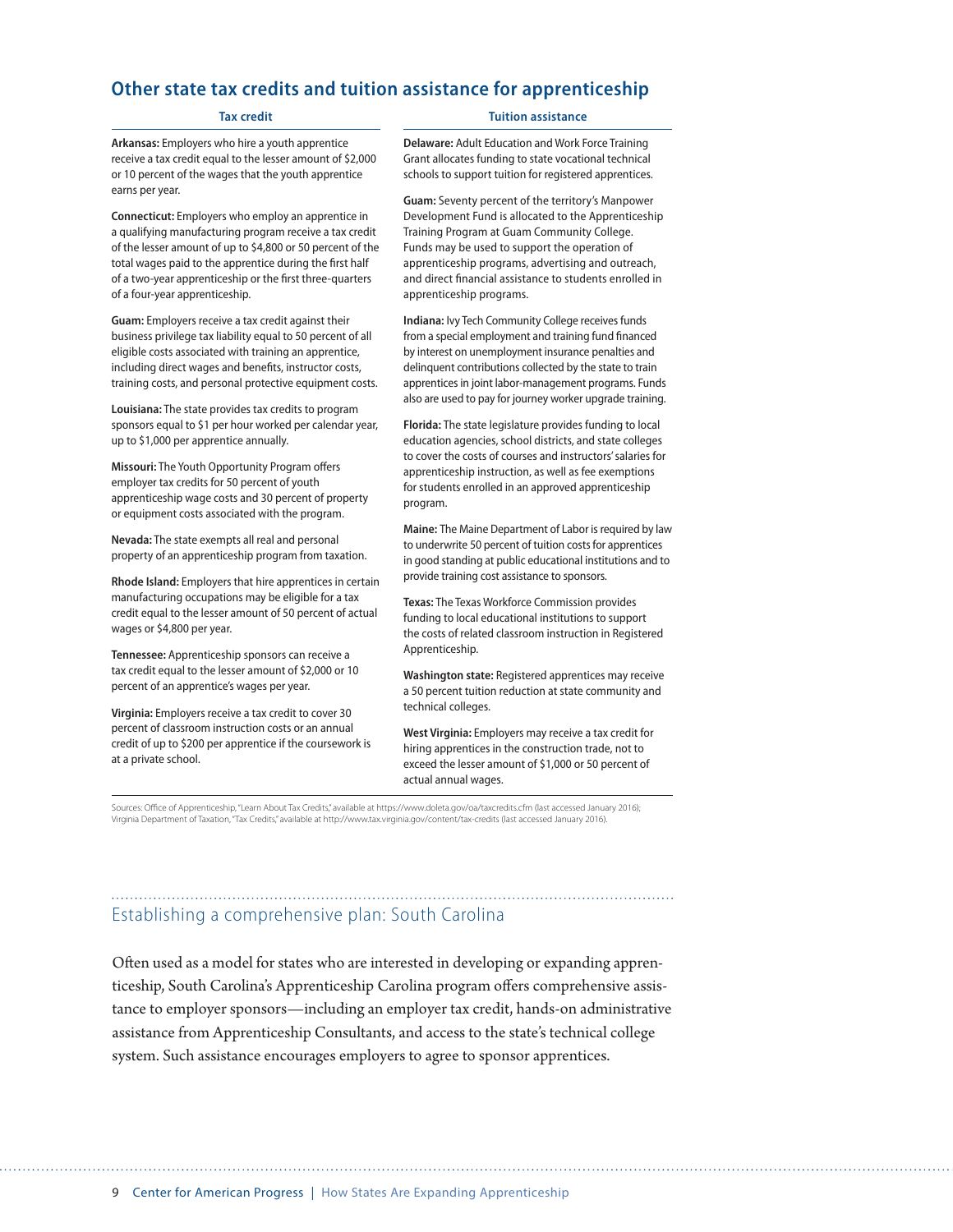## **Other state tax credits and tuition assistance for apprenticeship**

#### **Tax credit**

**Arkansas:** Employers who hire a youth apprentice receive a tax credit equal to the lesser amount of \$2,000 or 10 percent of the wages that the youth apprentice earns per year.

**Connecticut:** Employers who employ an apprentice in a qualifying manufacturing program receive a tax credit of the lesser amount of up to \$4,800 or 50 percent of the total wages paid to the apprentice during the first half of a two-year apprenticeship or the first three-quarters of a four-year apprenticeship.

**Guam:** Employers receive a tax credit against their business privilege tax liability equal to 50 percent of all eligible costs associated with training an apprentice, including direct wages and benefits, instructor costs, training costs, and personal protective equipment costs.

**Louisiana:** The state provides tax credits to program sponsors equal to \$1 per hour worked per calendar year, up to \$1,000 per apprentice annually.

**Missouri:** The Youth Opportunity Program offers employer tax credits for 50 percent of youth apprenticeship wage costs and 30 percent of property or equipment costs associated with the program.

**Nevada:** The state exempts all real and personal property of an apprenticeship program from taxation.

**Rhode Island:** Employers that hire apprentices in certain manufacturing occupations may be eligible for a tax credit equal to the lesser amount of 50 percent of actual wages or \$4,800 per year.

**Tennessee:** Apprenticeship sponsors can receive a tax credit equal to the lesser amount of \$2,000 or 10 percent of an apprentice's wages per year.

**Virginia:** Employers receive a tax credit to cover 30 percent of classroom instruction costs or an annual credit of up to \$200 per apprentice if the coursework is at a private school.

#### **Tuition assistance**

**Delaware:** Adult Education and Work Force Training Grant allocates funding to state vocational technical schools to support tuition for registered apprentices.

**Guam:** Seventy percent of the territory's Manpower Development Fund is allocated to the Apprenticeship Training Program at Guam Community College. Funds may be used to support the operation of apprenticeship programs, advertising and outreach, and direct financial assistance to students enrolled in apprenticeship programs.

**Indiana:** Ivy Tech Community College receives funds from a special employment and training fund financed by interest on unemployment insurance penalties and delinquent contributions collected by the state to train apprentices in joint labor-management programs. Funds also are used to pay for journey worker upgrade training.

**Florida:** The state legislature provides funding to local education agencies, school districts, and state colleges to cover the costs of courses and instructors' salaries for apprenticeship instruction, as well as fee exemptions for students enrolled in an approved apprenticeship program.

**Maine:** The Maine Department of Labor is required by law to underwrite 50 percent of tuition costs for apprentices in good standing at public educational institutions and to provide training cost assistance to sponsors.

**Texas:** The Texas Workforce Commission provides funding to local educational institutions to support the costs of related classroom instruction in Registered Apprenticeship.

**Washington state:** Registered apprentices may receive a 50 percent tuition reduction at state community and technical colleges.

**West Virginia:** Employers may receive a tax credit for hiring apprentices in the construction trade, not to exceed the lesser amount of \$1,000 or 50 percent of actual annual wages.

Sources: Office of Apprenticeship, "Learn About Tax Credits," available at https://www.doleta.gov/oa/taxcredits.cfm (last accessed January 2016); Virginia Department of Taxation, "Tax Credits," available at http://www.tax.virginia.gov/content/tax-credits (last accessed January 2016).

## Establishing a comprehensive plan: South Carolina

Often used as a model for states who are interested in developing or expanding apprenticeship, South Carolina's Apprenticeship Carolina program offers comprehensive assistance to employer sponsors—including an employer tax credit, hands-on administrative assistance from Apprenticeship Consultants, and access to the state's technical college system. Such assistance encourages employers to agree to sponsor apprentices.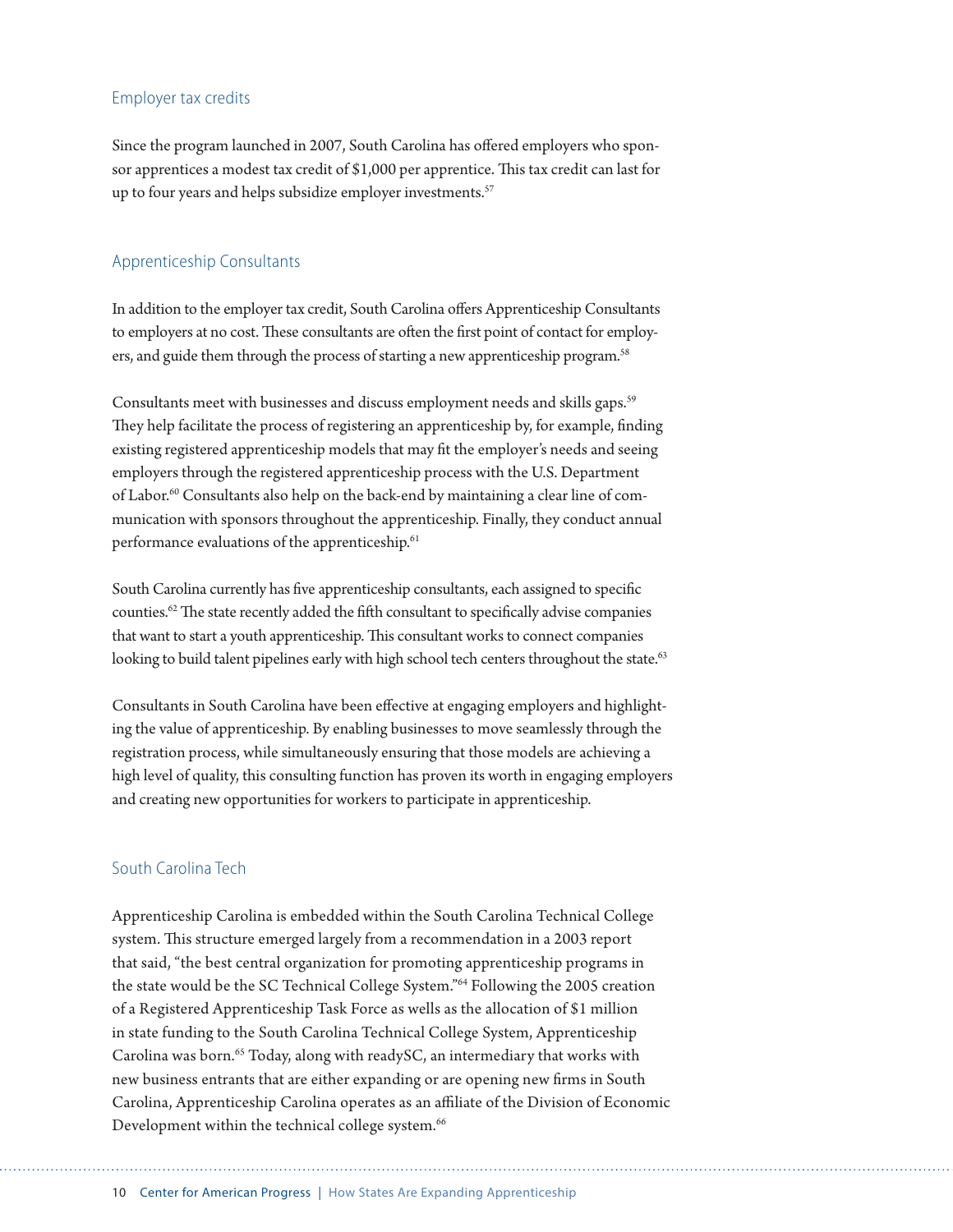## Employer tax credits

Since the program launched in 2007, South Carolina has offered employers who sponsor apprentices a modest tax credit of \$1,000 per apprentice. This tax credit can last for up to four years and helps subsidize employer investments.<sup>57</sup>

## Apprenticeship Consultants

In addition to the employer tax credit, South Carolina offers Apprenticeship Consultants to employers at no cost. These consultants are often the first point of contact for employers, and guide them through the process of starting a new apprenticeship program.<sup>58</sup>

Consultants meet with businesses and discuss employment needs and skills gaps.59 They help facilitate the process of registering an apprenticeship by, for example, finding existing registered apprenticeship models that may fit the employer's needs and seeing employers through the registered apprenticeship process with the U.S. Department of Labor.<sup>60</sup> Consultants also help on the back-end by maintaining a clear line of communication with sponsors throughout the apprenticeship. Finally, they conduct annual performance evaluations of the apprenticeship.<sup>61</sup>

South Carolina currently has five apprenticeship consultants, each assigned to specific counties.62 The state recently added the fifth consultant to specifically advise companies that want to start a youth apprenticeship. This consultant works to connect companies looking to build talent pipelines early with high school tech centers throughout the state.<sup>63</sup>

Consultants in South Carolina have been effective at engaging employers and highlighting the value of apprenticeship. By enabling businesses to move seamlessly through the registration process, while simultaneously ensuring that those models are achieving a high level of quality, this consulting function has proven its worth in engaging employers and creating new opportunities for workers to participate in apprenticeship.

## South Carolina Tech

Apprenticeship Carolina is embedded within the South Carolina Technical College system. This structure emerged largely from a recommendation in a 2003 report that said, "the best central organization for promoting apprenticeship programs in the state would be the SC Technical College System."64 Following the 2005 creation of a Registered Apprenticeship Task Force as wells as the allocation of \$1 million in state funding to the South Carolina Technical College System, Apprenticeship Carolina was born.<sup>65</sup> Today, along with readySC, an intermediary that works with new business entrants that are either expanding or are opening new firms in South Carolina, Apprenticeship Carolina operates as an affiliate of the Division of Economic Development within the technical college system.<sup>66</sup>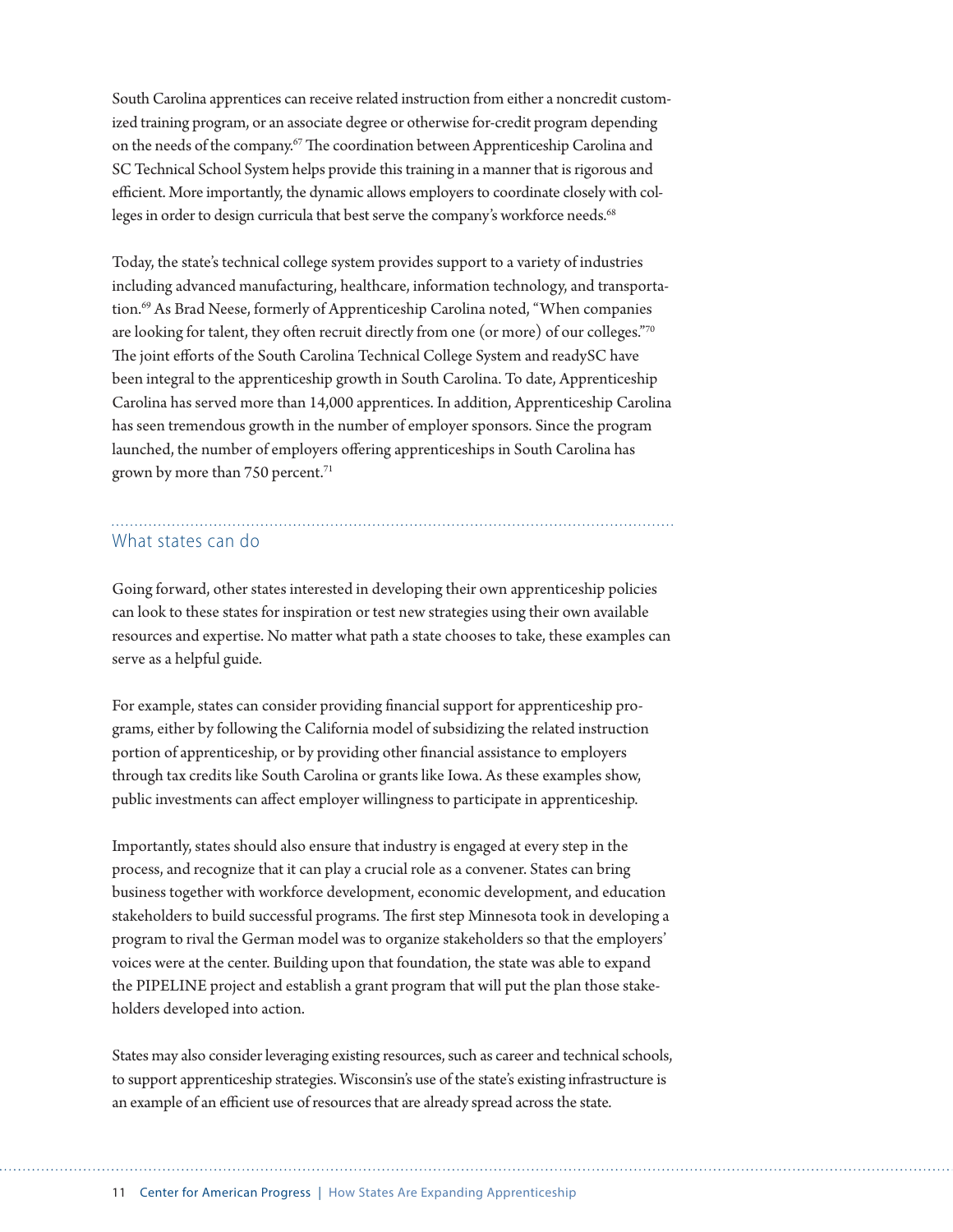South Carolina apprentices can receive related instruction from either a noncredit customized training program, or an associate degree or otherwise for-credit program depending on the needs of the company.<sup>67</sup> The coordination between Apprenticeship Carolina and SC Technical School System helps provide this training in a manner that is rigorous and efficient. More importantly, the dynamic allows employers to coordinate closely with colleges in order to design curricula that best serve the company's workforce needs.<sup>68</sup>

Today, the state's technical college system provides support to a variety of industries including advanced manufacturing, healthcare, information technology, and transportation.<sup>69</sup> As Brad Neese, formerly of Apprenticeship Carolina noted, "When companies are looking for talent, they often recruit directly from one (or more) of our colleges."70 The joint efforts of the South Carolina Technical College System and readySC have been integral to the apprenticeship growth in South Carolina. To date, Apprenticeship Carolina has served more than 14,000 apprentices. In addition, Apprenticeship Carolina has seen tremendous growth in the number of employer sponsors. Since the program launched, the number of employers offering apprenticeships in South Carolina has grown by more than 750 percent.<sup>71</sup>

#### What states can do

Going forward, other states interested in developing their own apprenticeship policies can look to these states for inspiration or test new strategies using their own available resources and expertise. No matter what path a state chooses to take, these examples can serve as a helpful guide.

For example, states can consider providing financial support for apprenticeship programs, either by following the California model of subsidizing the related instruction portion of apprenticeship, or by providing other financial assistance to employers through tax credits like South Carolina or grants like Iowa. As these examples show, public investments can affect employer willingness to participate in apprenticeship.

Importantly, states should also ensure that industry is engaged at every step in the process, and recognize that it can play a crucial role as a convener. States can bring business together with workforce development, economic development, and education stakeholders to build successful programs. The first step Minnesota took in developing a program to rival the German model was to organize stakeholders so that the employers' voices were at the center. Building upon that foundation, the state was able to expand the PIPELINE project and establish a grant program that will put the plan those stakeholders developed into action.

States may also consider leveraging existing resources, such as career and technical schools, to support apprenticeship strategies. Wisconsin's use of the state's existing infrastructure is an example of an efficient use of resources that are already spread across the state.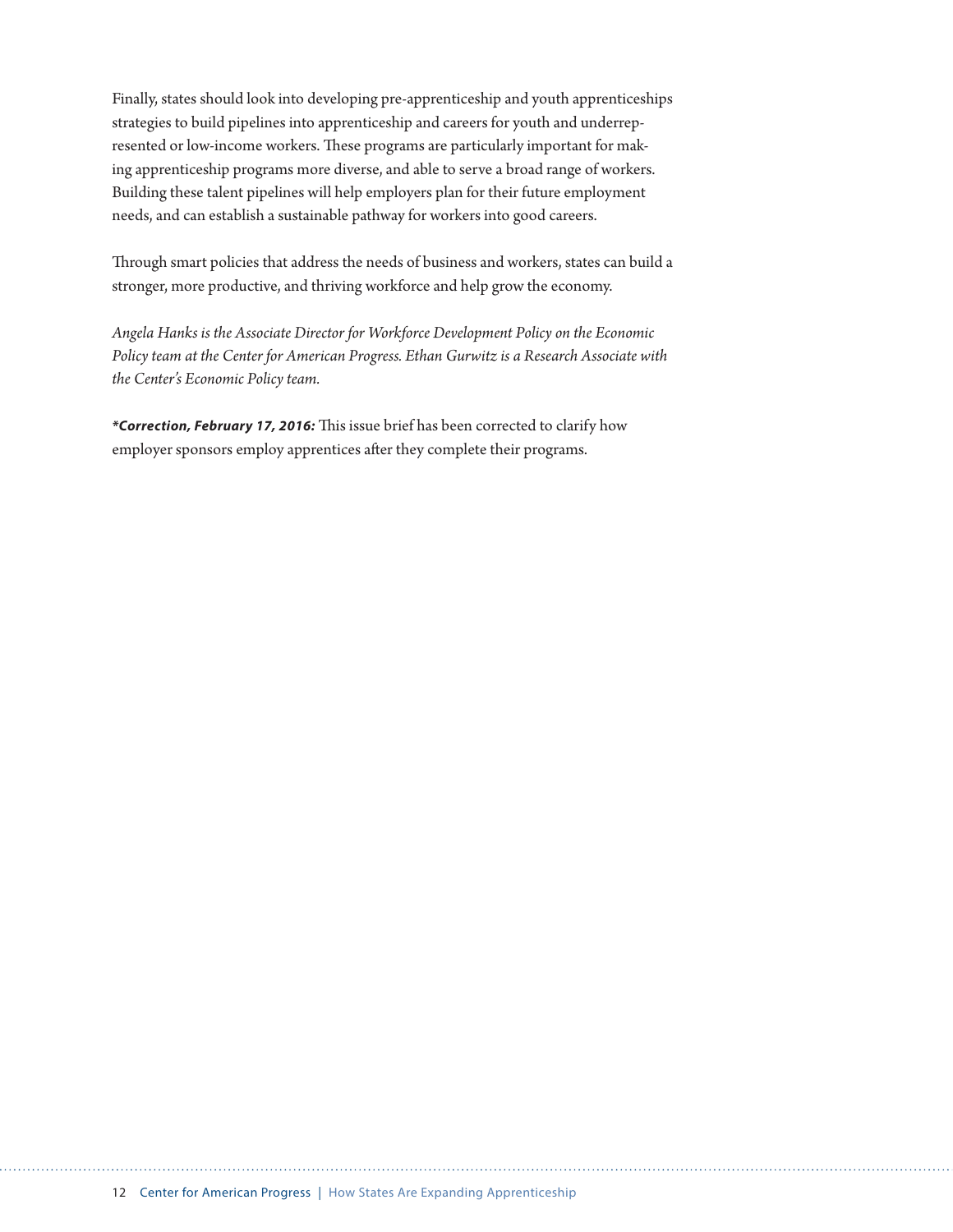Finally, states should look into developing pre-apprenticeship and youth apprenticeships strategies to build pipelines into apprenticeship and careers for youth and underrepresented or low-income workers. These programs are particularly important for making apprenticeship programs more diverse, and able to serve a broad range of workers. Building these talent pipelines will help employers plan for their future employment needs, and can establish a sustainable pathway for workers into good careers.

Through smart policies that address the needs of business and workers, states can build a stronger, more productive, and thriving workforce and help grow the economy.

*Angela Hanks is the Associate Director for Workforce Development Policy on the Economic Policy team at the Center for American Progress. Ethan Gurwitz is a Research Associate with the Center's Economic Policy team.* 

*\*Correction, February 17, 2016:* This issue brief has been corrected to clarify how employer sponsors employ apprentices after they complete their programs.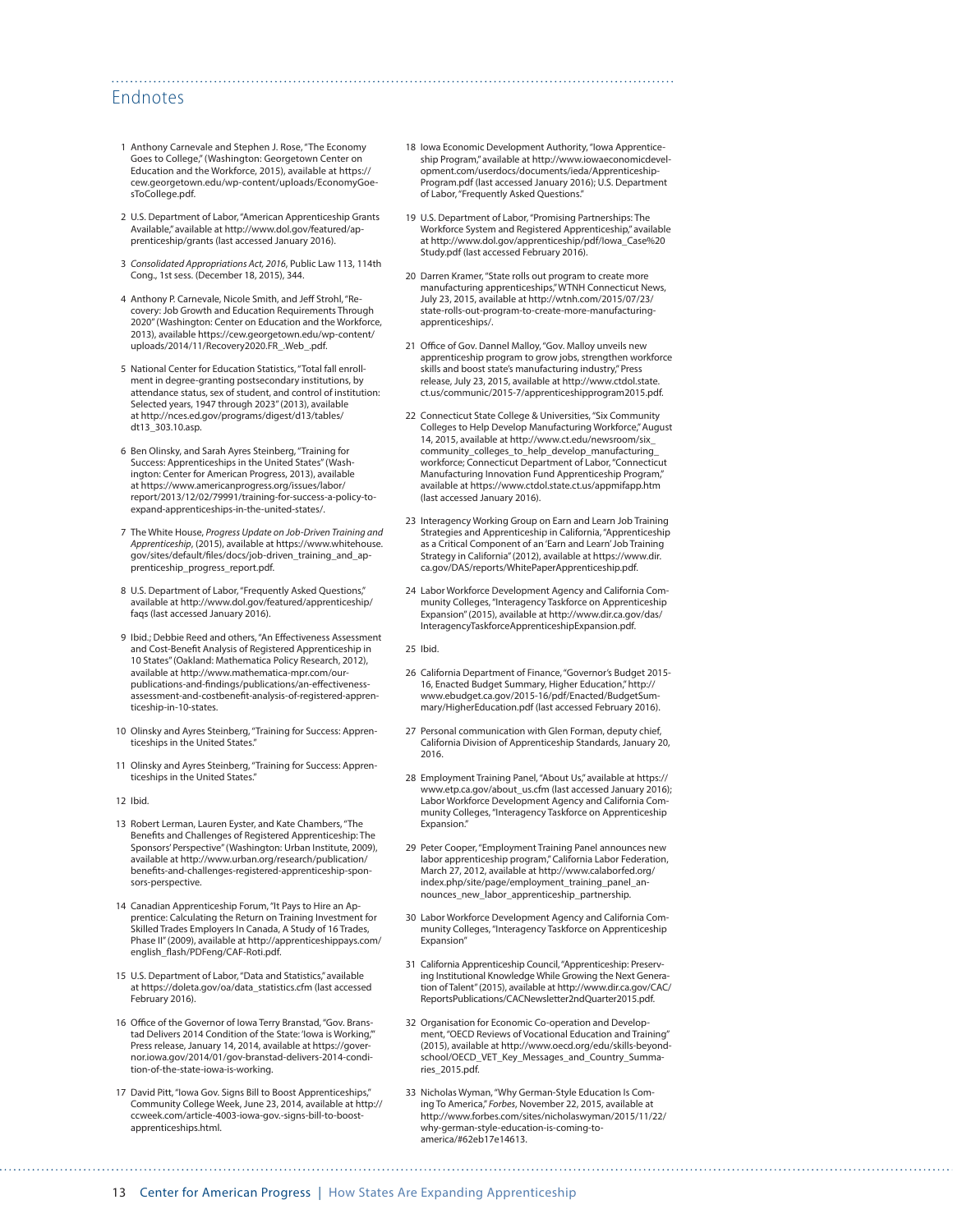## Endnotes

- 1 Anthony Carnevale and Stephen J. Rose, "The Economy Goes to College," (Washington: Georgetown Center on Education and the Workforce, 2015), available at [https://](https://cew.georgetown.edu/wp-content/uploads/EconomyGoesToCollege.pdf) [cew.georgetown.edu/wp-content/uploads/EconomyGoe](https://cew.georgetown.edu/wp-content/uploads/EconomyGoesToCollege.pdf)[sToCollege.pdf](https://cew.georgetown.edu/wp-content/uploads/EconomyGoesToCollege.pdf).
- 2 U.S. Department of Labor, "American Apprenticeship Grants Available," available at [http://www.dol.gov/featured/ap](http://www.dol.gov/featured/apprenticeship/grants)[prenticeship/grants](http://www.dol.gov/featured/apprenticeship/grants) (last accessed January 2016).
- 3 *Consolidated Appropriations Act, 2016*, Public Law 113, 114th Cong., 1st sess. (December 18, 2015), 344.
- 4 Anthony P. Carnevale, Nicole Smith, and Jeff Strohl, "Recovery: Job Growth and Education Requirements Through 2020" (Washington: Center on Education and the Workforce, 2013), available [https://cew.georgetown.edu/wp-content/](https://cew.georgetown.edu/wp-content/uploads/2014/11/Recovery2020.FR_.Web_.pdf) [uploads/2014/11/Recovery2020.FR\\_.Web\\_.pdf](https://cew.georgetown.edu/wp-content/uploads/2014/11/Recovery2020.FR_.Web_.pdf).
- 5 National Center for Education Statistics, "Total fall enrollment in degree-granting postsecondary institutions, by attendance status, sex of student, and control of institution: Selected years, 1947 through 2023" (2013), available at [http://nces.ed.gov/programs/digest/d13/tables/](http://nces.ed.gov/programs/digest/d13/tables/dt13_303.10.asp) [dt13\\_303.10.asp](http://nces.ed.gov/programs/digest/d13/tables/dt13_303.10.asp).
- 6 Ben Olinsky, and Sarah Ayres Steinberg, "Training for Success: Apprenticeships in the United States" (Washington: Center for American Progress, 2013), available at https://www.americanprogress.org/issues/labor/ report/2013/12/02/79991/training-for-success-a-policy-toexpand-apprenticeships-in-the-united-states/.
- 7 The White House, *Progress Update on Job-Driven Training and Apprenticeship*, (2015), available at [https://www.whitehouse.](https://www.whitehouse.gov/sites/default/files/docs/job-driven_training_and_apprenticeship_progress_report.pdf) [gov/sites/default/files/docs/job-driven\\_training\\_and\\_ap](https://www.whitehouse.gov/sites/default/files/docs/job-driven_training_and_apprenticeship_progress_report.pdf)[prenticeship\\_progress\\_report.pdf](https://www.whitehouse.gov/sites/default/files/docs/job-driven_training_and_apprenticeship_progress_report.pdf).
- 8 U.S. Department of Labor, "Frequently Asked Questions," available at [http://www.dol.gov/featured/apprenticeship/](http://www.dol.gov/featured/apprenticeship/faqs) [faqs](http://www.dol.gov/featured/apprenticeship/faqs) (last accessed January 2016).
- 9 Ibid.; Debbie Reed and others, "An Effectiveness Assessment and Cost-Benefit Analysis of Registered Apprenticeship in 10 States" (Oakland: Mathematica Policy Research, 2012), available at [http://www.mathematica-mpr.com/our](http://www.mathematica-mpr.com/our-publications-and-findings/publications/an-effectiveness-assessment-and-costbenefit-analysis-of-registered-apprenticeship-in-10-states)[publications-and-findings/publications/an-effectiveness](http://www.mathematica-mpr.com/our-publications-and-findings/publications/an-effectiveness-assessment-and-costbenefit-analysis-of-registered-apprenticeship-in-10-states)[assessment-and-costbenefit-analysis-of-registered-appren](http://www.mathematica-mpr.com/our-publications-and-findings/publications/an-effectiveness-assessment-and-costbenefit-analysis-of-registered-apprenticeship-in-10-states)[ticeship-in-10-states.](http://www.mathematica-mpr.com/our-publications-and-findings/publications/an-effectiveness-assessment-and-costbenefit-analysis-of-registered-apprenticeship-in-10-states)
- 10 Olinsky and Ayres Steinberg, "Training for Success: Apprenticeships in the United States."
- 11 Olinsky and Ayres Steinberg, "Training for Success: Apprenticeships in the United States."
- 12 Ibid.
- 13 Robert Lerman, Lauren Eyster, and Kate Chambers, "The Benefits and Challenges of Registered Apprenticeship: The Sponsors' Perspective" (Washington: Urban Institute, 2009), available at [http://www.urban.org/research/publication/](http://www.urban.org/research/publication/benefits-and-challenges-registered-apprenticeship-sponsors-perspective) [benefits-and-challenges-registered-apprenticeship-spon](http://www.urban.org/research/publication/benefits-and-challenges-registered-apprenticeship-sponsors-perspective)[sors-perspective](http://www.urban.org/research/publication/benefits-and-challenges-registered-apprenticeship-sponsors-perspective).
- 14 Canadian Apprenticeship Forum, "It Pays to Hire an Apprentice: Calculating the Return on Training Investment for Skilled Trades Employers In Canada, A Study of 16 Trades, Phase II" (2009), available at [http://apprenticeshippays.com/](http://apprenticeshippays.com/english_flash/PDFeng/CAF-Roti.pdf) [english\\_flash/PDFeng/CAF-Roti.pdf](http://apprenticeshippays.com/english_flash/PDFeng/CAF-Roti.pdf).
- 15 U.S. Department of Labor, "Data and Statistics," available at [https://doleta.gov/oa/data\\_statistics.cfm](https://doleta.gov/oa/data_statistics.cfm) (last accessed February 2016).
- 16 Office of the Governor of Iowa Terry Branstad, "Gov. Branstad Delivers 2014 Condition of the State: 'Iowa is Working,'" Press release, January 14, 2014, available at [https://gover](https://governor.iowa.gov/2014/01/gov-branstad-delivers-2014-condition-of-the-state-iowa-is-working)[nor.iowa.gov/2014/01/gov-branstad-delivers-2014-condi](https://governor.iowa.gov/2014/01/gov-branstad-delivers-2014-condition-of-the-state-iowa-is-working)[tion-of-the-state-iowa-is-working](https://governor.iowa.gov/2014/01/gov-branstad-delivers-2014-condition-of-the-state-iowa-is-working).
- 17 David Pitt, "Iowa Gov. Signs Bill to Boost Apprenticeships," Community College Week, June 23, 2014, available at [http://](http://ccweek.com/article-4003-iowa-gov.-signs-bill-to-boost-apprenticeships.html) [ccweek.com/article-4003-iowa-gov.-signs-bill-to-boost](http://ccweek.com/article-4003-iowa-gov.-signs-bill-to-boost-apprenticeships.html)[apprenticeships.html](http://ccweek.com/article-4003-iowa-gov.-signs-bill-to-boost-apprenticeships.html).
- 18 Iowa Economic Development Authority, "Iowa Apprenticeship Program," available at [http://www.iowaeconomicdevel](http://www.iowaeconomicdevelopment.com/userdocs/documents/ieda/ApprenticeshipProgram.pdf)[opment.com/userdocs/documents/ieda/Apprenticeship-](http://www.iowaeconomicdevelopment.com/userdocs/documents/ieda/ApprenticeshipProgram.pdf)[Program.pdf](http://www.iowaeconomicdevelopment.com/userdocs/documents/ieda/ApprenticeshipProgram.pdf) (last accessed January 2016); U.S. Department of Labor, "Frequently Asked Questions."
- 19 U.S. Department of Labor, "Promising Partnerships: The Workforce System and Registered Apprenticeship," available at [http://www.dol.gov/apprenticeship/pdf/Iowa\\_Case%20](http://www.dol.gov/apprenticeship/pdf/Iowa_Case%20Study.pdf) [Study.pdf](http://www.dol.gov/apprenticeship/pdf/Iowa_Case%20Study.pdf) (last accessed February 2016).
- 20 Darren Kramer, "State rolls out program to create more manufacturing apprenticeships," WTNH Connecticut News, July 23, 2015, available at [http://wtnh.com/2015/07/23/](http://wtnh.com/2015/07/23/state-rolls-out-program-to-create-more-manufacturing-apprenticeships/) [state-rolls-out-program-to-create-more-manufacturing](http://wtnh.com/2015/07/23/state-rolls-out-program-to-create-more-manufacturing-apprenticeships/)[apprenticeships/.](http://wtnh.com/2015/07/23/state-rolls-out-program-to-create-more-manufacturing-apprenticeships/)
- 21 Office of Gov. Dannel Malloy, "Gov. Malloy unveils new apprenticeship program to grow jobs, strengthen workforce skills and boost state's manufacturing industry," Press release, July 23, 2015, available at [http://www.ctdol.state.](http://www.ctdol.state.ct.us/communic/2015-7/apprenticeshipprogram2015.pdf) [ct.us/communic/2015-7/apprenticeshipprogram2015.pdf](http://www.ctdol.state.ct.us/communic/2015-7/apprenticeshipprogram2015.pdf).
- 22 Connecticut State College & Universities, "Six Community Colleges to Help Develop Manufacturing Workforce," August 14, 2015, available at [http://www.ct.edu/newsroom/six\\_](http://www.ct.edu/newsroom/six_community_colleges_to_help_develop_manufacturing_workforce) [community\\_colleges\\_to\\_help\\_develop\\_manufacturing\\_](http://www.ct.edu/newsroom/six_community_colleges_to_help_develop_manufacturing_workforce) [workforce](http://www.ct.edu/newsroom/six_community_colleges_to_help_develop_manufacturing_workforce); Connecticut Department of Labor, "Connecticut Manufacturing Innovation Fund Apprenticeship Program," available at<https://www.ctdol.state.ct.us/appmifapp.htm> (last accessed January 2016).
- 23 Interagency Working Group on Earn and Learn Job Training Strategies and Apprenticeship in California, "Apprenticeship as a Critical Component of an 'Earn and Learn' Job Training Strategy in California" (2012), available at [https://www.dir.](https://www.dir.ca.gov/DAS/reports/WhitePaperApprenticeship.pdf) [ca.gov/DAS/reports/WhitePaperApprenticeship.pdf.](https://www.dir.ca.gov/DAS/reports/WhitePaperApprenticeship.pdf)
- 24 Labor Workforce Development Agency and California Community Colleges, "Interagency Taskforce on Apprenticeship Expansion" (2015), available at [http://www.dir.ca.gov/das/](http://www.dir.ca.gov/das/InteragencyTaskforceApprenticeshipExpansion.pdf) [InteragencyTaskforceApprenticeshipExpansion.pdf](http://www.dir.ca.gov/das/InteragencyTaskforceApprenticeshipExpansion.pdf).

25 Ibid.

- 26 California Department of Finance, "Governor's Budget 2015- 16, Enacted Budget Summary, Higher Education," [http://](http://www.ebudget.ca.gov/2015-16/pdf/Enacted/BudgetSummary/HigherEducation.pdf) [www.ebudget.ca.gov/2015-16/pdf/Enacted/BudgetSum](http://www.ebudget.ca.gov/2015-16/pdf/Enacted/BudgetSummary/HigherEducation.pdf)[mary/HigherEducation.pdf](http://www.ebudget.ca.gov/2015-16/pdf/Enacted/BudgetSummary/HigherEducation.pdf) (last accessed February 2016).
- 27 Personal communication with Glen Forman, deputy chief, California Division of Apprenticeship Standards, January 20, 2016.
- 28 Employment Training Panel, "About Us," available at [https://](https://www.etp.ca.gov/about_us.cfm) [www.etp.ca.gov/about\\_us.cfm](https://www.etp.ca.gov/about_us.cfm) (last accessed January 2016); Labor Workforce Development Agency and California Community Colleges, "Interagency Taskforce on Apprenticeship Expansion."
- 29 Peter Cooper, "Employment Training Panel announces new labor apprenticeship program," California Labor Federation, March 27, 2012, available at [http://www.calaborfed.org/](http://www.calaborfed.org/index.php/site/page/employment_training_panel_announces_new_labor_apprenticeship_partnership) [index.php/site/page/employment\\_training\\_panel\\_an](http://www.calaborfed.org/index.php/site/page/employment_training_panel_announces_new_labor_apprenticeship_partnership)[nounces\\_new\\_labor\\_apprenticeship\\_partnership](http://www.calaborfed.org/index.php/site/page/employment_training_panel_announces_new_labor_apprenticeship_partnership).
- 30 Labor Workforce Development Agency and California Community Colleges, "Interagency Taskforce on Apprenticeship Expansion"
- 31 California Apprenticeship Council, "Apprenticeship: Preserving Institutional Knowledge While Growing the Next Generation of Talent" (2015), available at [http://www.dir.ca.gov/CAC/](http://www.dir.ca.gov/CAC/ReportsPublications/CACNewsletter2ndQuarter2015.pdf) [ReportsPublications/CACNewsletter2ndQuarter2015.pdf](http://www.dir.ca.gov/CAC/ReportsPublications/CACNewsletter2ndQuarter2015.pdf).
- 32 Organisation for Economic Co-operation and Development, "OECD Reviews of Vocational Education and Training" (2015), available at [http://www.oecd.org/edu/skills-beyond](http://www.oecd.org/edu/skills-beyond-school/OECD_VET_Key_Messages_and_Country_Summaries_2015.pdf)[school/OECD\\_VET\\_Key\\_Messages\\_and\\_Country\\_Summa](http://www.oecd.org/edu/skills-beyond-school/OECD_VET_Key_Messages_and_Country_Summaries_2015.pdf)[ries\\_2015.pdf.](http://www.oecd.org/edu/skills-beyond-school/OECD_VET_Key_Messages_and_Country_Summaries_2015.pdf)
- 33 Nicholas Wyman, "Why German-Style Education Is Coming To America," *Forbes*, November 22, 2015, available at http://www.forbes.com/sites/nicholaswyman/2015/11/22/ why-german-style-education-is-coming-toamerica/#62eb17e14613.